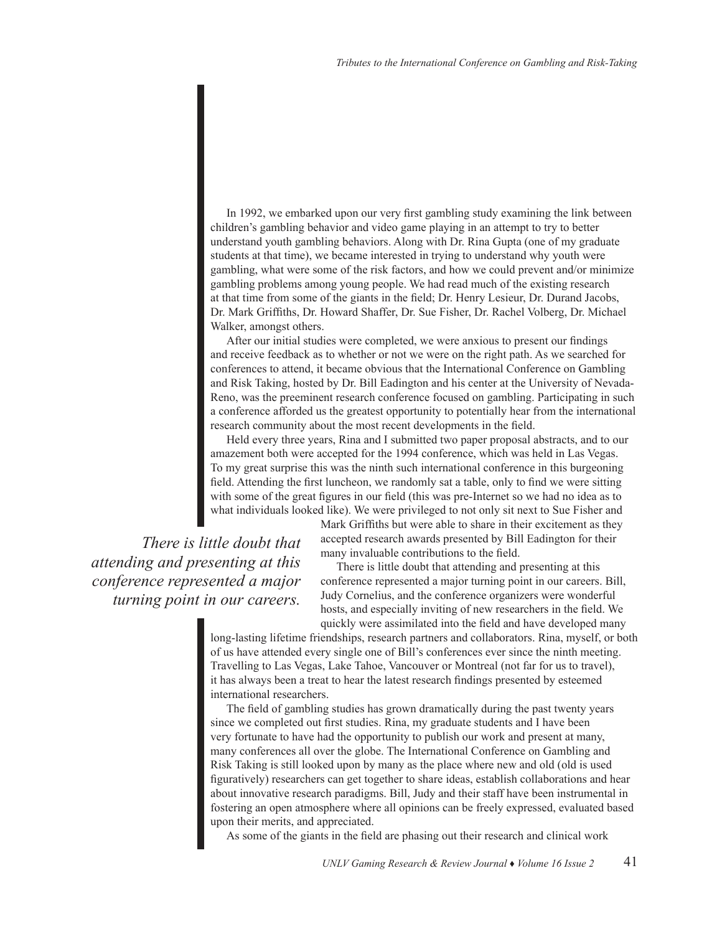In 1992, we embarked upon our very first gambling study examining the link between children's gambling behavior and video game playing in an attempt to try to better understand youth gambling behaviors. Along with Dr. Rina Gupta (one of my graduate students at that time), we became interested in trying to understand why youth were gambling, what were some of the risk factors, and how we could prevent and/or minimize gambling problems among young people. We had read much of the existing research at that time from some of the giants in the field; Dr. Henry Lesieur, Dr. Durand Jacobs, Dr. Mark Griffiths, Dr. Howard Shaffer, Dr. Sue Fisher, Dr. Rachel Volberg, Dr. Michael Walker, amongst others.

After our initial studies were completed, we were anxious to present our findings and receive feedback as to whether or not we were on the right path. As we searched for conferences to attend, it became obvious that the International Conference on Gambling and Risk Taking, hosted by Dr. Bill Eadington and his center at the University of Nevada-Reno, was the preeminent research conference focused on gambling. Participating in such a conference afforded us the greatest opportunity to potentially hear from the international research community about the most recent developments in the field.

Held every three years, Rina and I submitted two paper proposal abstracts, and to our amazement both were accepted for the 1994 conference, which was held in Las Vegas. To my great surprise this was the ninth such international conference in this burgeoning field. Attending the first luncheon, we randomly sat a table, only to find we were sitting with some of the great figures in our field (this was pre-Internet so we had no idea as to what individuals looked like). We were privileged to not only sit next to Sue Fisher and

*There is little doubt that attending and presenting at this conference represented a major turning point in our careers.* Mark Griffiths but were able to share in their excitement as they accepted research awards presented by Bill Eadington for their many invaluable contributions to the field.

There is little doubt that attending and presenting at this conference represented a major turning point in our careers. Bill, Judy Cornelius, and the conference organizers were wonderful hosts, and especially inviting of new researchers in the field. We quickly were assimilated into the field and have developed many

long-lasting lifetime friendships, research partners and collaborators. Rina, myself, or both of us have attended every single one of Bill's conferences ever since the ninth meeting. Travelling to Las Vegas, Lake Tahoe, Vancouver or Montreal (not far for us to travel), it has always been a treat to hear the latest research findings presented by esteemed international researchers.

The field of gambling studies has grown dramatically during the past twenty years since we completed out first studies. Rina, my graduate students and I have been very fortunate to have had the opportunity to publish our work and present at many, many conferences all over the globe. The International Conference on Gambling and Risk Taking is still looked upon by many as the place where new and old (old is used figuratively) researchers can get together to share ideas, establish collaborations and hear about innovative research paradigms. Bill, Judy and their staff have been instrumental in fostering an open atmosphere where all opinions can be freely expressed, evaluated based upon their merits, and appreciated.

As some of the giants in the field are phasing out their research and clinical work